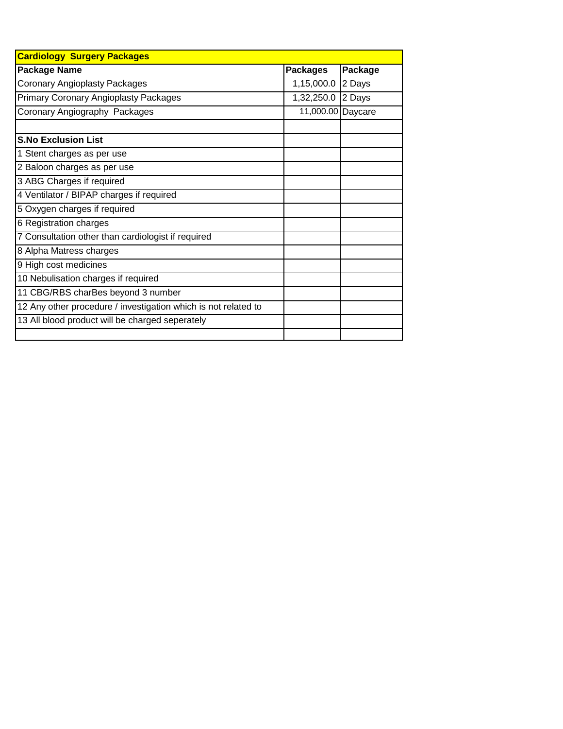| <b>Cardiology Surgery Packages</b>                             |                   |         |  |  |  |  |
|----------------------------------------------------------------|-------------------|---------|--|--|--|--|
| <b>Package Name</b>                                            | <b>Packages</b>   | Package |  |  |  |  |
| <b>Coronary Angioplasty Packages</b>                           | 1,15,000.0        | 2 Days  |  |  |  |  |
| <b>Primary Coronary Angioplasty Packages</b>                   | 1,32,250.0        | 2 Days  |  |  |  |  |
| Coronary Angiography Packages                                  | 11,000.00 Daycare |         |  |  |  |  |
|                                                                |                   |         |  |  |  |  |
| <b>S.No Exclusion List</b>                                     |                   |         |  |  |  |  |
| 1 Stent charges as per use                                     |                   |         |  |  |  |  |
| 2 Baloon charges as per use                                    |                   |         |  |  |  |  |
| 3 ABG Charges if required                                      |                   |         |  |  |  |  |
| 4 Ventilator / BIPAP charges if required                       |                   |         |  |  |  |  |
| 5 Oxygen charges if required                                   |                   |         |  |  |  |  |
| 6 Registration charges                                         |                   |         |  |  |  |  |
| 7 Consultation other than cardiologist if required             |                   |         |  |  |  |  |
| 8 Alpha Matress charges                                        |                   |         |  |  |  |  |
| 9 High cost medicines                                          |                   |         |  |  |  |  |
| 10 Nebulisation charges if required                            |                   |         |  |  |  |  |
| 11 CBG/RBS charBes beyond 3 number                             |                   |         |  |  |  |  |
| 12 Any other procedure / investigation which is not related to |                   |         |  |  |  |  |
| 13 All blood product will be charged seperately                |                   |         |  |  |  |  |
|                                                                |                   |         |  |  |  |  |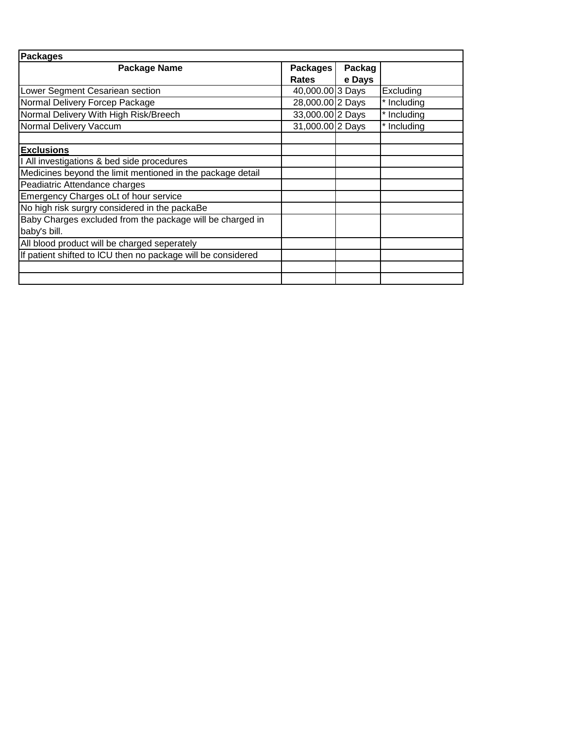| <b>Packages</b>                                              |                  |        |             |
|--------------------------------------------------------------|------------------|--------|-------------|
| Package Name                                                 | Packages         | Packag |             |
|                                                              | <b>Rates</b>     | e Days |             |
| Lower Segment Cesariean section                              | 40,000.00 3 Days |        | Excluding   |
| Normal Delivery Forcep Package                               | 28,000.00 2 Days |        | * Including |
| Normal Delivery With High Risk/Breech                        | 33,000.00 2 Days |        | * Including |
| Normal Delivery Vaccum                                       | 31,000.00 2 Days |        | * Including |
|                                                              |                  |        |             |
| <b>Exclusions</b>                                            |                  |        |             |
| I All investigations & bed side procedures                   |                  |        |             |
| Medicines beyond the limit mentioned in the package detail   |                  |        |             |
| Peadiatric Attendance charges                                |                  |        |             |
| Emergency Charges oLt of hour service                        |                  |        |             |
| No high risk surgry considered in the packaBe                |                  |        |             |
| Baby Charges excluded from the package will be charged in    |                  |        |             |
| baby's bill.                                                 |                  |        |             |
| All blood product will be charged seperately                 |                  |        |             |
| If patient shifted to ICU then no package will be considered |                  |        |             |
|                                                              |                  |        |             |
|                                                              |                  |        |             |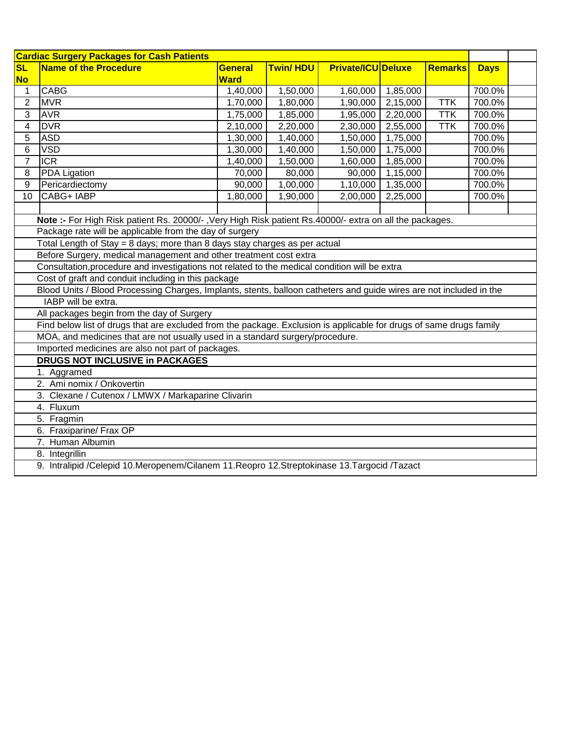| <b>Cardiac Surgery Packages for Cash Patients</b>                                                                   |                                                                                                                     |                                                                      |                 |                           |          |                |             |  |  |
|---------------------------------------------------------------------------------------------------------------------|---------------------------------------------------------------------------------------------------------------------|----------------------------------------------------------------------|-----------------|---------------------------|----------|----------------|-------------|--|--|
| <b>SL</b>                                                                                                           | <b>Name of the Procedure</b>                                                                                        | <b>General</b>                                                       | <b>Twin/HDU</b> | <b>Private/ICU Deluxe</b> |          | <b>Remarks</b> | <b>Days</b> |  |  |
| <b>No</b>                                                                                                           |                                                                                                                     | <b>Ward</b>                                                          |                 |                           |          |                |             |  |  |
| 1                                                                                                                   | <b>CABG</b>                                                                                                         | 1,40,000                                                             | 1,50,000        | 1,60,000                  | 1,85,000 |                | 700.0%      |  |  |
| 2                                                                                                                   | <b>MVR</b>                                                                                                          | 1,70,000                                                             | 1,80,000        | 1,90,000                  | 2,15,000 | <b>TTK</b>     | 700.0%      |  |  |
| 3                                                                                                                   | <b>AVR</b>                                                                                                          | 1,75,000                                                             | 1,85,000        | 1,95,000                  | 2,20,000 | <b>TTK</b>     | 700.0%      |  |  |
| 4                                                                                                                   | <b>DVR</b>                                                                                                          | 2,20,000<br>2,55,000<br><b>TTK</b><br>700.0%<br>2,10,000<br>2,30,000 |                 |                           |          |                |             |  |  |
| 5                                                                                                                   | <b>ASD</b><br>700.0%<br>1,30,000<br>1,40,000<br>1,50,000<br>1,75,000                                                |                                                                      |                 |                           |          |                |             |  |  |
| 6                                                                                                                   | <b>VSD</b>                                                                                                          | 1,30,000                                                             | 1,40,000        | 1,50,000                  | 1,75,000 |                | 700.0%      |  |  |
| $\overline{7}$                                                                                                      | <b>ICR</b>                                                                                                          | 1,40,000                                                             | 1,50,000        | 1,60,000                  | 1,85,000 |                | 700.0%      |  |  |
| 8                                                                                                                   | <b>PDA Ligation</b>                                                                                                 | 70,000                                                               | 80,000          | 90,000                    | 1,15,000 |                | 700.0%      |  |  |
| 9                                                                                                                   | Pericardiectomy                                                                                                     | 90,000                                                               | 1,00,000        | 1,10,000                  | 1,35,000 |                | 700.0%      |  |  |
| $\overline{10}$                                                                                                     | CABG+ IABP                                                                                                          | 1,80,000                                                             | 1,90,000        | 2,00,000                  | 2,25,000 |                | 700.0%      |  |  |
|                                                                                                                     |                                                                                                                     |                                                                      |                 |                           |          |                |             |  |  |
|                                                                                                                     | Note :- For High Risk patient Rs. 20000/-, Very High Risk patient Rs.40000/- extra on all the packages.             |                                                                      |                 |                           |          |                |             |  |  |
|                                                                                                                     | Package rate will be applicable from the day of surgery                                                             |                                                                      |                 |                           |          |                |             |  |  |
|                                                                                                                     | Total Length of Stay = 8 days; more than 8 days stay charges as per actual                                          |                                                                      |                 |                           |          |                |             |  |  |
|                                                                                                                     | Before Surgery, medical management and other treatment cost extra                                                   |                                                                      |                 |                           |          |                |             |  |  |
| Consultation, procedure and investigations not related to the medical condition will be extra                       |                                                                                                                     |                                                                      |                 |                           |          |                |             |  |  |
| Cost of graft and conduit including in this package                                                                 |                                                                                                                     |                                                                      |                 |                           |          |                |             |  |  |
| Blood Units / Blood Processing Charges, Implants, stents, balloon catheters and guide wires are not included in the |                                                                                                                     |                                                                      |                 |                           |          |                |             |  |  |
|                                                                                                                     | IABP will be extra.                                                                                                 |                                                                      |                 |                           |          |                |             |  |  |
|                                                                                                                     | All packages begin from the day of Surgery                                                                          |                                                                      |                 |                           |          |                |             |  |  |
|                                                                                                                     | Find below list of drugs that are excluded from the package. Exclusion is applicable for drugs of same drugs family |                                                                      |                 |                           |          |                |             |  |  |
|                                                                                                                     | MOA, and medicines that are not usually used in a standard surgery/procedure.                                       |                                                                      |                 |                           |          |                |             |  |  |
|                                                                                                                     | Imported medicines are also not part of packages.                                                                   |                                                                      |                 |                           |          |                |             |  |  |
|                                                                                                                     | <b>DRUGS NOT INCLUSIVE in PACKAGES</b>                                                                              |                                                                      |                 |                           |          |                |             |  |  |
|                                                                                                                     | 1. Aggramed                                                                                                         |                                                                      |                 |                           |          |                |             |  |  |
|                                                                                                                     | 2. Ami nomix / Onkovertin                                                                                           |                                                                      |                 |                           |          |                |             |  |  |
| 3. Clexane / Cutenox / LMWX / Markaparine Clivarin                                                                  |                                                                                                                     |                                                                      |                 |                           |          |                |             |  |  |
| 4. Fluxum                                                                                                           |                                                                                                                     |                                                                      |                 |                           |          |                |             |  |  |
| 5. Fragmin                                                                                                          |                                                                                                                     |                                                                      |                 |                           |          |                |             |  |  |
| 6. Fraxiparine/ Frax OP                                                                                             |                                                                                                                     |                                                                      |                 |                           |          |                |             |  |  |
| 7. Human Albumin                                                                                                    |                                                                                                                     |                                                                      |                 |                           |          |                |             |  |  |
| 8. Integrillin                                                                                                      |                                                                                                                     |                                                                      |                 |                           |          |                |             |  |  |
|                                                                                                                     | 9. Intralipid /Celepid 10.Meropenem/Cilanem 11.Reopro 12.Streptokinase 13.Targocid /Tazact                          |                                                                      |                 |                           |          |                |             |  |  |
|                                                                                                                     |                                                                                                                     |                                                                      |                 |                           |          |                |             |  |  |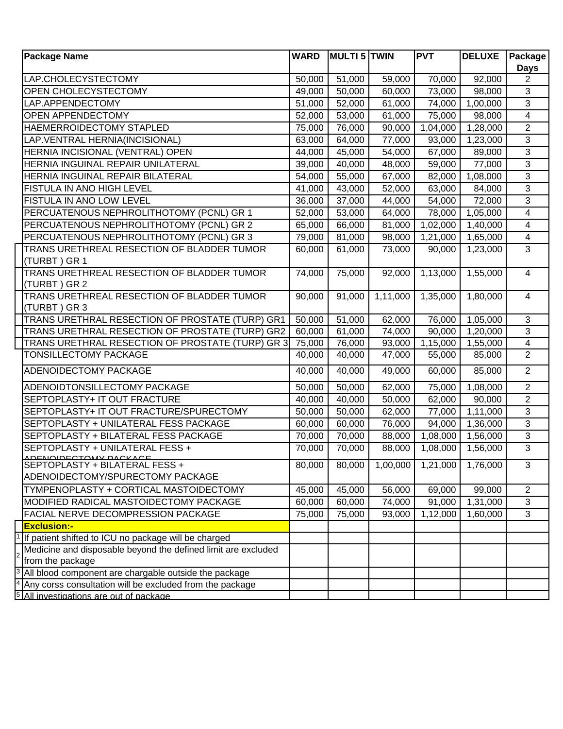| <b>Package Name</b>                                                                                               | <b>WARD</b> | <b>MULTI 5 TWIN</b> |          | <b>PVT</b>            | <b>DELUXE</b>         | Package                 |
|-------------------------------------------------------------------------------------------------------------------|-------------|---------------------|----------|-----------------------|-----------------------|-------------------------|
|                                                                                                                   |             |                     |          |                       |                       | <b>Days</b>             |
| LAP.CHOLECYSTECTOMY                                                                                               | 50,000      | 51,000              | 59,000   | 70,000                | 92,000                | $\overline{2}$          |
| OPEN CHOLECYSTECTOMY                                                                                              | 49,000      | 50,000              | 60,000   | 73,000                | 98,000                | 3                       |
| LAP.APPENDECTOMY                                                                                                  | 51,000      | 52,000              | 61,000   | 74,000                | 1,00,000              | $\overline{3}$          |
| OPEN APPENDECTOMY                                                                                                 | 52,000      | 53,000              | 61,000   | 75,000                | 98,000                | $\overline{4}$          |
| HAEMERROIDECTOMY STAPLED                                                                                          | 75,000      | 76,000              | 90,000   | $\overline{1,04,000}$ | $\overline{1,28,000}$ | $\overline{2}$          |
| LAP.VENTRAL HERNIA(INCISIONAL)                                                                                    | 63,000      | 64,000              | 77,000   | 93,000                | 1,23,000              | $\overline{3}$          |
| HERNIA INCISIONAL (VENTRAL) OPEN                                                                                  | 44,000      | 45,000              | 54,000   | 67,000                | 89,000                | 3                       |
| HERNIA INGUINAL REPAIR UNILATERAL                                                                                 | 39,000      | 40,000              | 48,000   | 59,000                | 77,000                | $\overline{3}$          |
| HERNIA INGUINAL REPAIR BILATERAL                                                                                  | 54,000      | 55,000              | 67,000   | 82,000                | 1,08,000              | $\mathfrak{S}$          |
| FISTULA IN ANO HIGH LEVEL                                                                                         | 41,000      | 43,000              | 52,000   | 63,000                | 84,000                | $\overline{3}$          |
| FISTULA IN ANO LOW LEVEL                                                                                          | 36,000      | 37,000              | 44,000   | 54,000                | 72,000                | $\overline{3}$          |
| PERCUATENOUS NEPHROLITHOTOMY (PCNL) GR 1                                                                          | 52,000      | 53,000              | 64,000   | 78,000                | 1,05,000              | $\overline{4}$          |
| PERCUATENOUS NEPHROLITHOTOMY (PCNL) GR 2                                                                          | 65,000      | 66,000              | 81,000   | 1,02,000              | 1,40,000              | $\overline{\mathbf{4}}$ |
| PERCUATENOUS NEPHROLITHOTOMY (PCNL) GR 3                                                                          | 79,000      | 81,000              | 98,000   | 1,21,000              | 1,65,000              | $\overline{4}$          |
| TRANS URETHREAL RESECTION OF BLADDER TUMOR                                                                        | 60,000      | 61,000              | 73,000   | 90,000                | 1,23,000              | $\overline{3}$          |
| (TURBT) GR 1                                                                                                      |             |                     |          |                       |                       |                         |
| TRANS URETHREAL RESECTION OF BLADDER TUMOR                                                                        | 74,000      | 75,000              | 92,000   | 1,13,000              | 1,55,000              | $\overline{4}$          |
| (TURBT) GR 2                                                                                                      |             |                     |          |                       |                       |                         |
| TRANS URETHREAL RESECTION OF BLADDER TUMOR                                                                        | 90,000      | 91,000              | 1,11,000 | 1,35,000              | 1,80,000              | $\overline{4}$          |
| (TURBT) GR 3                                                                                                      |             |                     |          |                       |                       |                         |
| TRANS URETHRAL RESECTION OF PROSTATE (TURP) GR1                                                                   | 50,000      | 51,000              | 62,000   | 76,000                | 1,05,000              | $\overline{3}$          |
| TRANS URETHRAL RESECTION OF PROSTATE (TURP) GR2                                                                   | 60,000      | 61,000              | 74,000   | 90,000                | 1,20,000              | $\overline{3}$          |
| TRANS URETHRAL RESECTION OF PROSTATE (TURP) GR 3                                                                  | 75,000      | 76,000              | 93,000   | 1,15,000              | $\overline{1,55,000}$ | $\overline{4}$          |
| TONSILLECTOMY PACKAGE                                                                                             | 40,000      | 40,000              | 47,000   | 55,000                | 85,000                | $\overline{2}$          |
| <b>ADENOIDECTOMY PACKAGE</b>                                                                                      | 40,000      | 40,000              | 49,000   | 60,000                | 85,000                | $\overline{2}$          |
| ADENOIDTONSILLECTOMY PACKAGE                                                                                      | 50,000      | 50,000              | 62,000   | 75,000                | 1,08,000              | $\overline{2}$          |
| SEPTOPLASTY+ IT OUT FRACTURE                                                                                      | 40,000      | 40,000              | 50,000   | 62,000                | 90,000                | $\overline{2}$          |
| SEPTOPLASTY+ IT OUT FRACTURE/SPURECTOMY                                                                           | 50,000      | 50,000              | 62,000   | 77,000                | $\overline{1,}11,000$ | 3                       |
| SEPTOPLASTY + UNILATERAL FESS PACKAGE                                                                             | 60,000      | 60,000              | 76,000   | 94,000                | 1,36,000              | $\overline{3}$          |
| SEPTOPLASTY + BILATERAL FESS PACKAGE                                                                              | 70,000      | 70,000              | 88,000   | 1,08,000              | 1,56,000              | $\mathfrak{S}$          |
| SEPTOPLASTY + UNILATERAL FESS +                                                                                   | 70,000      | 70,000              | 88,000   | 1,08,000              | 1,56,000              | $\overline{3}$          |
| ADENQUECTOMY BACKACE_______<br>SEPTOPLASTY + BILATERAL FESS +                                                     | 80,000      | 80,000              | 1,00,000 |                       | 1,76,000              | 3                       |
| ADENOIDECTOMY/SPURECTOMY PACKAGE                                                                                  |             |                     |          | 1,21,000              |                       |                         |
|                                                                                                                   |             |                     |          |                       |                       |                         |
| TYMPENOPLASTY + CORTICAL MASTOIDECTOMY                                                                            | 45,000      | 45,000              | 56,000   | 69,000                | 99,000                | $\overline{2}$          |
| MODIFIED RADICAL MASTOIDECTOMY PACKAGE                                                                            | 60,000      | 60,000              | 74,000   | 91,000                | 1,31,000              | 3                       |
| FACIAL NERVE DECOMPRESSION PACKAGE                                                                                | 75,000      | 75,000              | 93,000   | 1,12,000              | 1,60,000              | 3                       |
| <b>Exclusion:-</b>                                                                                                |             |                     |          |                       |                       |                         |
| If patient shifted to ICU no package will be charged                                                              |             |                     |          |                       |                       |                         |
| Medicine and disposable beyond the defined limit are excluded                                                     |             |                     |          |                       |                       |                         |
| from the package                                                                                                  |             |                     |          |                       |                       |                         |
| All blood component are chargable outside the package<br>Any corss consultation will be excluded from the package |             |                     |          |                       |                       |                         |
| All investigations are out of package.                                                                            |             |                     |          |                       |                       |                         |
|                                                                                                                   |             |                     |          |                       |                       |                         |